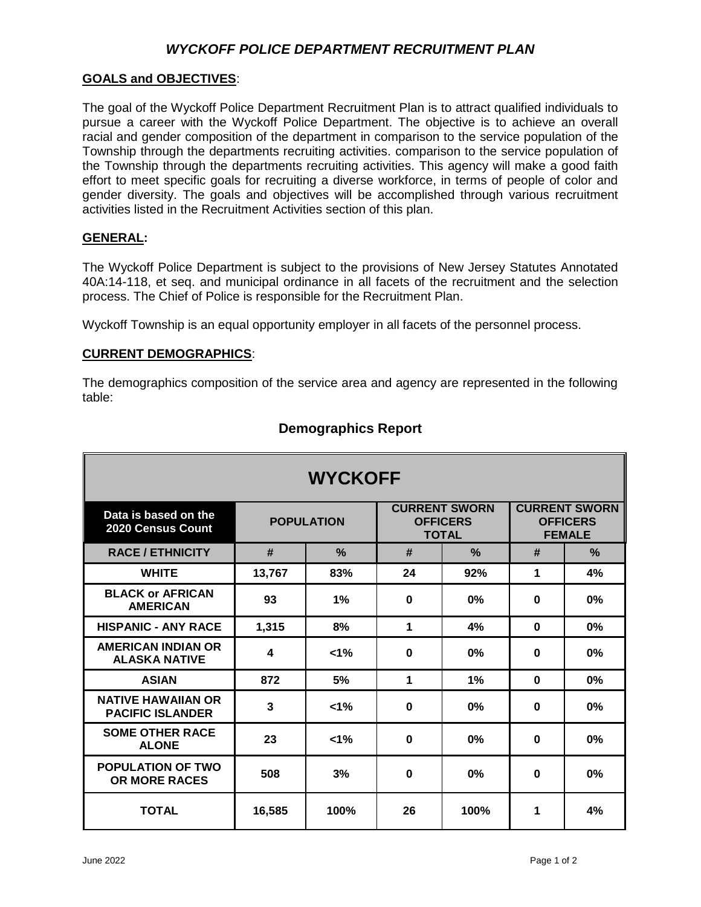# *WYCKOFF POLICE DEPARTMENT RECRUITMENT PLAN*

### **GOALS and OBJECTIVES**:

The goal of the Wyckoff Police Department Recruitment Plan is to attract qualified individuals to pursue a career with the Wyckoff Police Department. The objective is to achieve an overall racial and gender composition of the department in comparison to the service population of the Township through the departments recruiting activities. comparison to the service population of the Township through the departments recruiting activities. This agency will make a good faith effort to meet specific goals for recruiting a diverse workforce, in terms of people of color and gender diversity. The goals and objectives will be accomplished through various recruitment activities listed in the Recruitment Activities section of this plan.

### **GENERAL:**

The Wyckoff Police Department is subject to the provisions of New Jersey Statutes Annotated 40A:14-118, et seq. and municipal ordinance in all facets of the recruitment and the selection process. The Chief of Police is responsible for the Recruitment Plan.

Wyckoff Township is an equal opportunity employer in all facets of the personnel process.

### **CURRENT DEMOGRAPHICS**:

The demographics composition of the service area and agency are represented in the following table:

| <b>WYCKOFF</b>                                       |                   |               |                                                         |      |                                                          |      |
|------------------------------------------------------|-------------------|---------------|---------------------------------------------------------|------|----------------------------------------------------------|------|
| Data is based on the<br>2020 Census Count            | <b>POPULATION</b> |               | <b>CURRENT SWORN</b><br><b>OFFICERS</b><br><b>TOTAL</b> |      | <b>CURRENT SWORN</b><br><b>OFFICERS</b><br><b>FEMALE</b> |      |
| <b>RACE / ETHNICITY</b>                              | #                 | $\frac{9}{6}$ | #                                                       | $\%$ | #                                                        | $\%$ |
| <b>WHITE</b>                                         | 13,767            | 83%           | 24                                                      | 92%  | 1                                                        | 4%   |
| <b>BLACK or AFRICAN</b><br><b>AMERICAN</b>           | 93                | 1%            | $\bf{0}$                                                | 0%   | $\bf{0}$                                                 | 0%   |
| <b>HISPANIC - ANY RACE</b>                           | 1,315             | 8%            | 1                                                       | 4%   | $\bf{0}$                                                 | 0%   |
| <b>AMERICAN INDIAN OR</b><br><b>ALASKA NATIVE</b>    | 4                 | $< 1\%$       | $\bf{0}$                                                | 0%   | $\bf{0}$                                                 | 0%   |
| <b>ASIAN</b>                                         | 872               | 5%            | 1                                                       | 1%   | $\bf{0}$                                                 | 0%   |
| <b>NATIVE HAWAIIAN OR</b><br><b>PACIFIC ISLANDER</b> | 3                 | $1\%$         | $\bf{0}$                                                | 0%   | $\bf{0}$                                                 | 0%   |
| <b>SOME OTHER RACE</b><br><b>ALONE</b>               | 23                | $1\%$         | $\bf{0}$                                                | 0%   | $\bf{0}$                                                 | 0%   |
| <b>POPULATION OF TWO</b><br>OR MORE RACES            | 508               | 3%            | $\bf{0}$                                                | 0%   | $\mathbf 0$                                              | 0%   |
| <b>TOTAL</b>                                         | 16,585            | 100%          | 26                                                      | 100% | 1                                                        | 4%   |

## **Demographics Report**